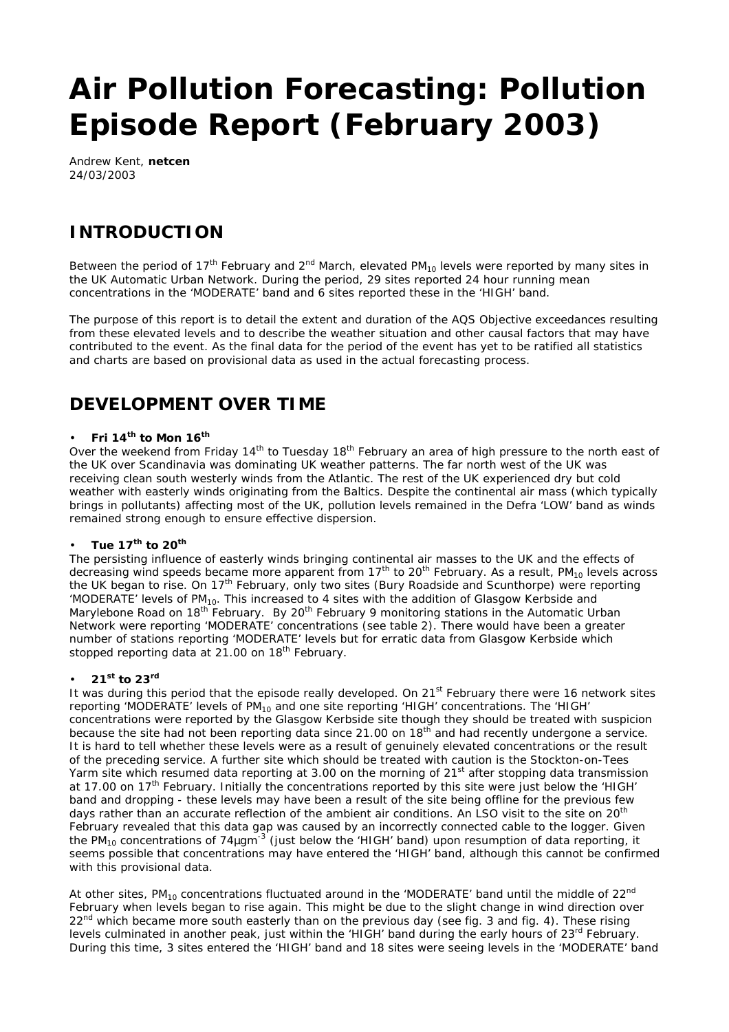# **Air Pollution Forecasting: Pollution Episode Report (February 2003)**

Andrew Kent, **netcen** 24/03/2003

# **INTRODUCTION**

Between the period of 17<sup>th</sup> February and 2<sup>nd</sup> March, elevated PM<sub>10</sub> levels were reported by many sites in the UK Automatic Urban Network. During the period, 29 sites reported 24 hour running mean concentrations in the 'MODERATE' band and 6 sites reported these in the 'HIGH' band.

The purpose of this report is to detail the extent and duration of the AQS Objective exceedances resulting from these elevated levels and to describe the weather situation and other causal factors that may have contributed to the event. As the final data for the period of the event has yet to be ratified all statistics and charts are based on provisional data as used in the actual forecasting process.

## **DEVELOPMENT OVER TIME**

#### • **Fri 14th to Mon 16th**

Over the weekend from Friday 14<sup>th</sup> to Tuesday 18<sup>th</sup> February an area of high pressure to the north east of the UK over Scandinavia was dominating UK weather patterns. The far north west of the UK was receiving clean south westerly winds from the Atlantic. The rest of the UK experienced dry but cold weather with easterly winds originating from the Baltics. Despite the continental air mass (which typically brings in pollutants) affecting most of the UK, pollution levels remained in the Defra 'LOW' band as winds remained strong enough to ensure effective dispersion.

#### • **Tue 17th to 20th**

The persisting influence of easterly winds bringing continental air masses to the UK and the effects of decreasing wind speeds became more apparent from 17<sup>th</sup> to 20<sup>th</sup> February. As a result, PM<sub>10</sub> levels across the UK began to rise. On 17th February, only two sites (Bury Roadside and Scunthorpe) were reporting 'MODERATE' levels of PM10. This increased to 4 sites with the addition of Glasgow Kerbside and Marylebone Road on 18<sup>th</sup> February. By 20<sup>th</sup> February 9 monitoring stations in the Automatic Urban Network were reporting 'MODERATE' concentrations (see table 2). There would have been a greater number of stations reporting 'MODERATE' levels but for erratic data from Glasgow Kerbside which stopped reporting data at 21.00 on 18<sup>th</sup> February.

#### • **21st to 23rd**

It was during this period that the episode really developed. On 21<sup>st</sup> February there were 16 network sites reporting 'MODERATE' levels of PM10 and one site reporting 'HIGH' concentrations. The 'HIGH' concentrations were reported by the Glasgow Kerbside site though they should be treated with suspicion because the site had not been reporting data since 21.00 on 18<sup>th</sup> and had recently undergone a service. It is hard to tell whether these levels were as a result of genuinely elevated concentrations or the result of the preceding service. A further site which should be treated with caution is the Stockton-on-Tees Yarm site which resumed data reporting at 3.00 on the morning of 21<sup>st</sup> after stopping data transmission at 17.00 on 17<sup>th</sup> February. Initially the concentrations reported by this site were just below the 'HIGH' band and dropping - these levels may have been a result of the site being offline for the previous few days rather than an accurate reflection of the ambient air conditions. An LSO visit to the site on 20<sup>th</sup> February revealed that this data gap was caused by an incorrectly connected cable to the logger. Given the PM<sub>10</sub> concentrations of 74mgm<sup>-3</sup> (just below the 'HIGH' band) upon resumption of data reporting, it seems possible that concentrations may have entered the 'HIGH' band, although this cannot be confirmed with this provisional data.

At other sites, PM<sub>10</sub> concentrations fluctuated around in the 'MODERATE' band until the middle of 22<sup>nd</sup> February when levels began to rise again. This might be due to the slight change in wind direction over 22<sup>nd</sup> which became more south easterly than on the previous day (see fig. 3 and fig. 4). These rising levels culminated in another peak, just within the 'HIGH' band during the early hours of 23<sup>rd</sup> February. During this time, 3 sites entered the 'HIGH' band and 18 sites were seeing levels in the 'MODERATE' band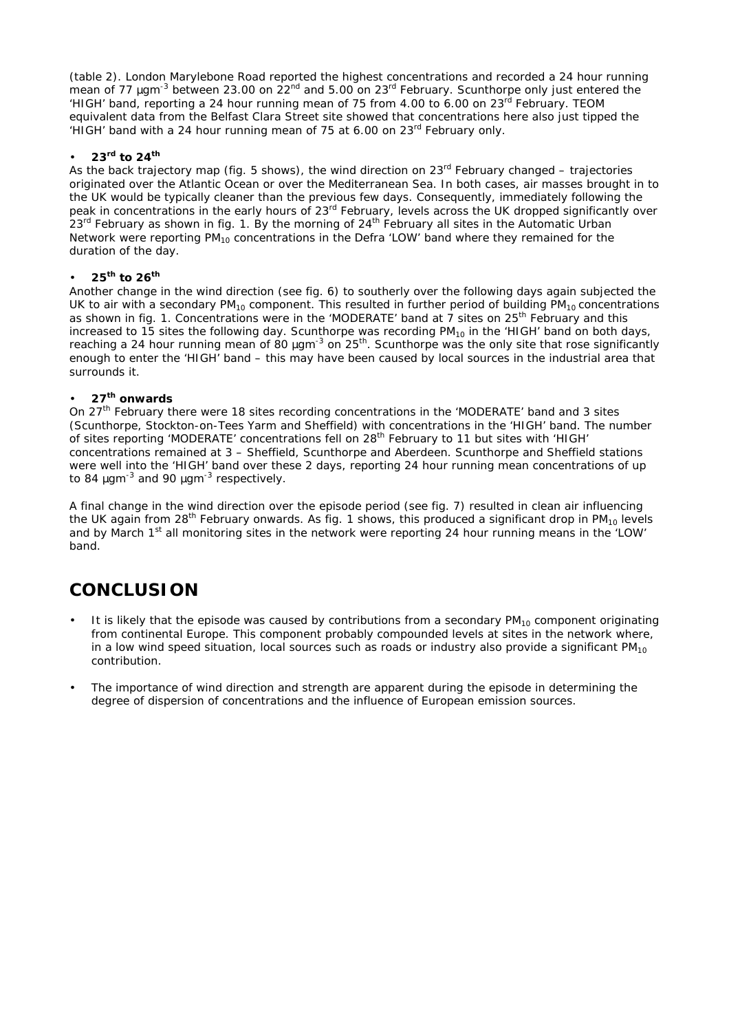(table 2). London Marylebone Road reported the highest concentrations and recorded a 24 hour running mean of 77 *mgm*<sup>-3</sup> between 23.00 on 22<sup>nd</sup> and 5.00 on 23<sup>rd</sup> February. Scunthorpe only just entered the 'HIGH' band, reporting a 24 hour running mean of 75 from 4.00 to 6.00 on 23rd February. TEOM equivalent data from the Belfast Clara Street site showed that concentrations here also just tipped the 'HIGH' band with a 24 hour running mean of 75 at 6.00 on 23rd February only.

#### • **23rd to 24th**

As the back trajectory map (fig. 5 shows), the wind direction on  $23<sup>rd</sup>$  February changed – trajectories originated over the Atlantic Ocean or over the Mediterranean Sea. In both cases, air masses brought in to the UK would be typically cleaner than the previous few days. Consequently, immediately following the peak in concentrations in the early hours of 23<sup>rd</sup> February, levels across the UK dropped significantly over  $23<sup>rd</sup>$  February as shown in fig. 1. By the morning of  $24<sup>th</sup>$  February all sites in the Automatic Urban Network were reporting PM $_{10}$  concentrations in the Defra 'LOW' band where they remained for the duration of the day.

#### • **25th to 26th**

Another change in the wind direction (see fig. 6) to southerly over the following days again subjected the UK to air with a secondary  $PM_{10}$  component. This resulted in further period of building  $PM_{10}$  concentrations as shown in fig. 1. Concentrations were in the 'MODERATE' band at 7 sites on 25<sup>th</sup> February and this increased to 15 sites the following day. Scunthorpe was recording PM<sub>10</sub> in the 'HIGH' band on both days, reaching a 24 hour running mean of 80 *mg*m<sup>-3</sup> on 25<sup>th</sup>. Scunthorpe was the only site that rose significantly enough to enter the 'HIGH' band – this may have been caused by local sources in the industrial area that surrounds it.

#### • **27th onwards**

On 27<sup>th</sup> February there were 18 sites recording concentrations in the 'MODERATE' band and 3 sites (Scunthorpe, Stockton-on-Tees Yarm and Sheffield) with concentrations in the 'HIGH' band. The number of sites reporting 'MODERATE' concentrations fell on 28<sup>th</sup> February to 11 but sites with 'HIGH' concentrations remained at 3 – Sheffield, Scunthorpe and Aberdeen. Scunthorpe and Sheffield stations were well into the 'HIGH' band over these 2 days, reporting 24 hour running mean concentrations of up to 84 *m*gm-3 and 90 *m*gm-3 respectively.

A final change in the wind direction over the episode period (see fig. 7) resulted in clean air influencing the UK again from 28<sup>th</sup> February onwards. As fig. 1 shows, this produced a significant drop in PM<sub>10</sub> levels and by March 1<sup>st</sup> all monitoring sites in the network were reporting 24 hour running means in the 'LOW' band.

## **CONCLUSION**

- It is likely that the episode was caused by contributions from a secondary  $PM_{10}$  component originating from continental Europe. This component probably compounded levels at sites in the network where, in a low wind speed situation, local sources such as roads or industry also provide a significant  $PM_{10}$ contribution.
- The importance of wind direction and strength are apparent during the episode in determining the degree of dispersion of concentrations and the influence of European emission sources.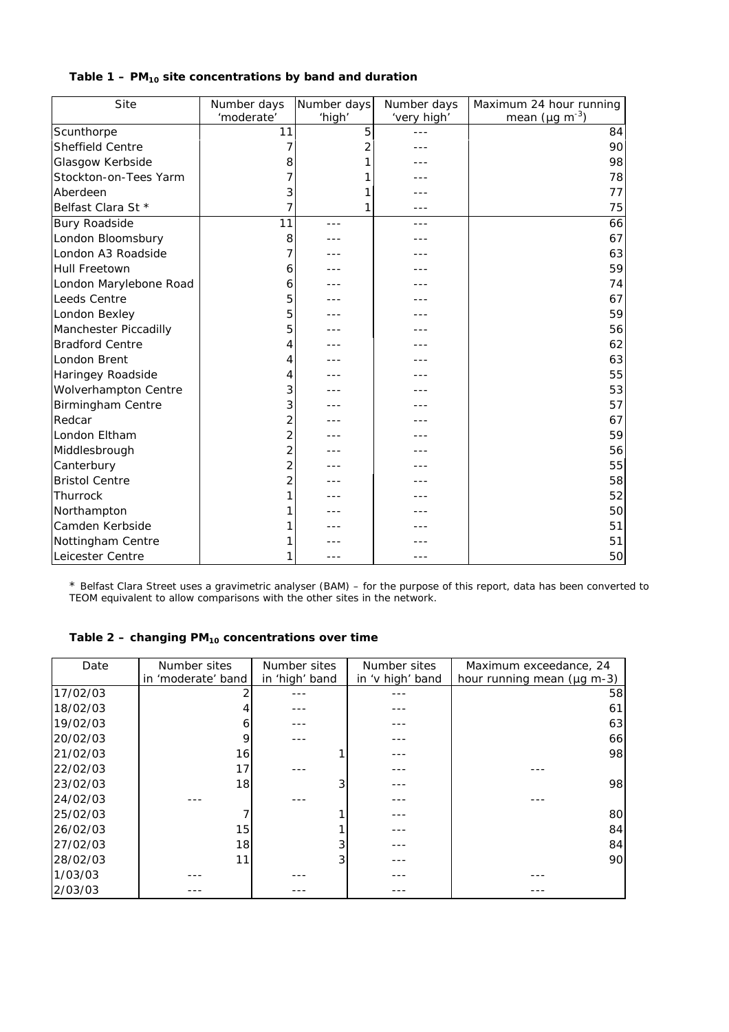#### **Table 1 – PM10 site concentrations by band and duration**

| Site                     | Number days    | Number days    | Number days | Maximum 24 hour running          |
|--------------------------|----------------|----------------|-------------|----------------------------------|
|                          | 'moderate'     | 'high'         | 'very high' | mean ( $\mu$ g m <sup>-3</sup> ) |
| Scunthorpe               | 11             | 5              |             | 84                               |
| Sheffield Centre         | 7              | $\overline{2}$ |             | 90                               |
| Glasgow Kerbside         | 8              |                |             | 98                               |
| Stockton-on-Tees Yarm    |                |                |             | 78                               |
| Aberdeen                 | 3              |                |             | 77                               |
| Belfast Clara St *       | 7              | 1              |             | 75                               |
| <b>Bury Roadside</b>     | 11             | ---            | ---         | 66                               |
| London Bloomsbury        | 8              |                |             | 67                               |
| London A3 Roadside       |                |                |             | 63                               |
| <b>Hull Freetown</b>     | 6              |                |             | 59                               |
| London Marylebone Road   | 6              |                |             | 74                               |
| Leeds Centre             | 5              |                |             | 67                               |
| London Bexley            | 5              |                |             | 59                               |
| Manchester Piccadilly    | 5              |                |             | 56                               |
| <b>Bradford Centre</b>   | 4              |                |             | 62                               |
| London Brent             | 4              |                |             | 63                               |
| Haringey Roadside        | 4              |                |             | 55                               |
| Wolverhampton Centre     | 3              |                |             | 53                               |
| <b>Birmingham Centre</b> | 3              |                |             | 57                               |
| Redcar                   | 2              |                |             | 67                               |
| London Eltham            | $\overline{2}$ |                |             | 59                               |
| Middlesbrough            | $\overline{2}$ |                |             | 56                               |
| Canterbury               | $\overline{2}$ |                |             | 55                               |
| <b>Bristol Centre</b>    | $\overline{2}$ |                |             | 58                               |
| Thurrock                 | 1              |                |             | 52                               |
| Northampton              |                |                |             | 50                               |
| Camden Kerbside          |                |                |             | 51                               |
| Nottingham Centre        |                |                |             | 51                               |
| Leicester Centre         |                |                |             | 50                               |

\* Belfast Clara Street uses a gravimetric analyser (BAM) – for the purpose of this report, data has been converted to TEOM equivalent to allow comparisons with the other sites in the network.

#### **Table 2 – changing PM10 concentrations over time**

| Date     | Number sites       | Number sites   | Number sites     | Maximum exceedance, 24     |
|----------|--------------------|----------------|------------------|----------------------------|
|          | in 'moderate' band | in 'high' band | in 'v high' band | hour running mean (µg m-3) |
| 17/02/03 |                    |                |                  | 58                         |
| 18/02/03 |                    |                |                  | 61                         |
| 19/02/03 | 6                  |                |                  | 63                         |
| 20/02/03 | 9                  |                |                  | 66 <sup>I</sup>            |
| 21/02/03 | 16                 |                |                  | 98                         |
| 22/02/03 | 17                 |                |                  |                            |
| 23/02/03 | 18                 |                |                  | 98                         |
| 24/02/03 |                    |                |                  |                            |
| 25/02/03 |                    |                |                  | 80                         |
| 26/02/03 | 15                 |                |                  | 84                         |
| 27/02/03 | 18                 |                |                  | 84                         |
| 28/02/03 | 11                 |                |                  | 90                         |
| 1/03/03  |                    |                |                  |                            |
| 2/03/03  |                    |                |                  |                            |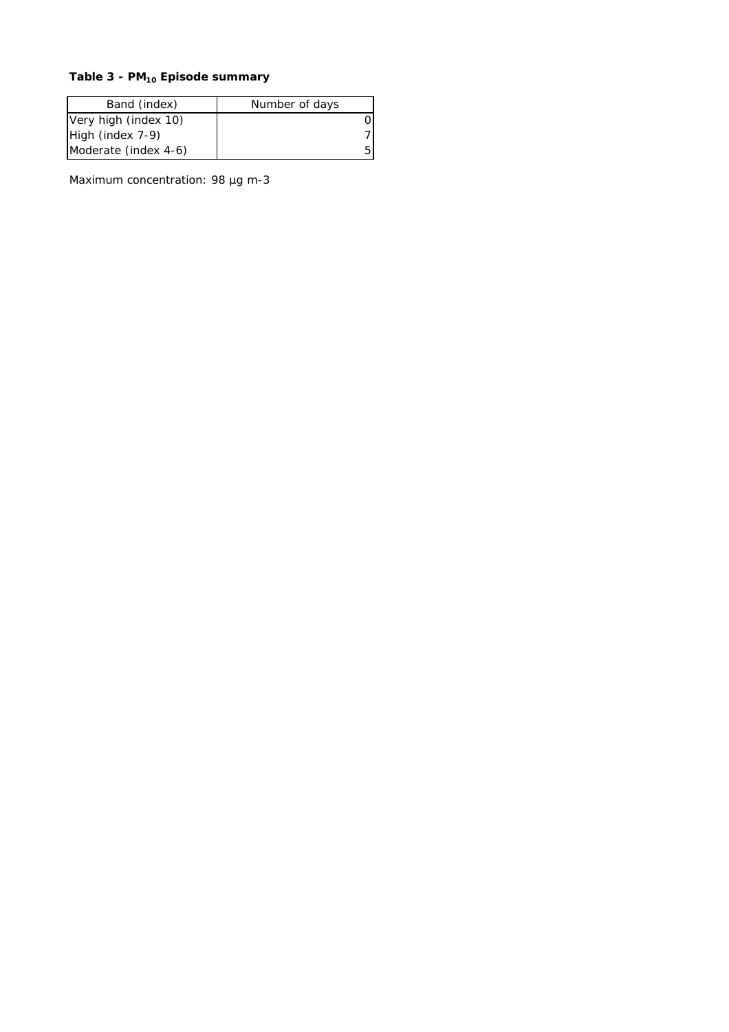## **Table 3 - PM10 Episode summary**

| Band (index)         | Number of days |  |  |
|----------------------|----------------|--|--|
| Very high (index 10) | 0              |  |  |
| High (index 7-9)     |                |  |  |
| Moderate (index 4-6) | 5.             |  |  |

Maximum concentration: 98 µg m-3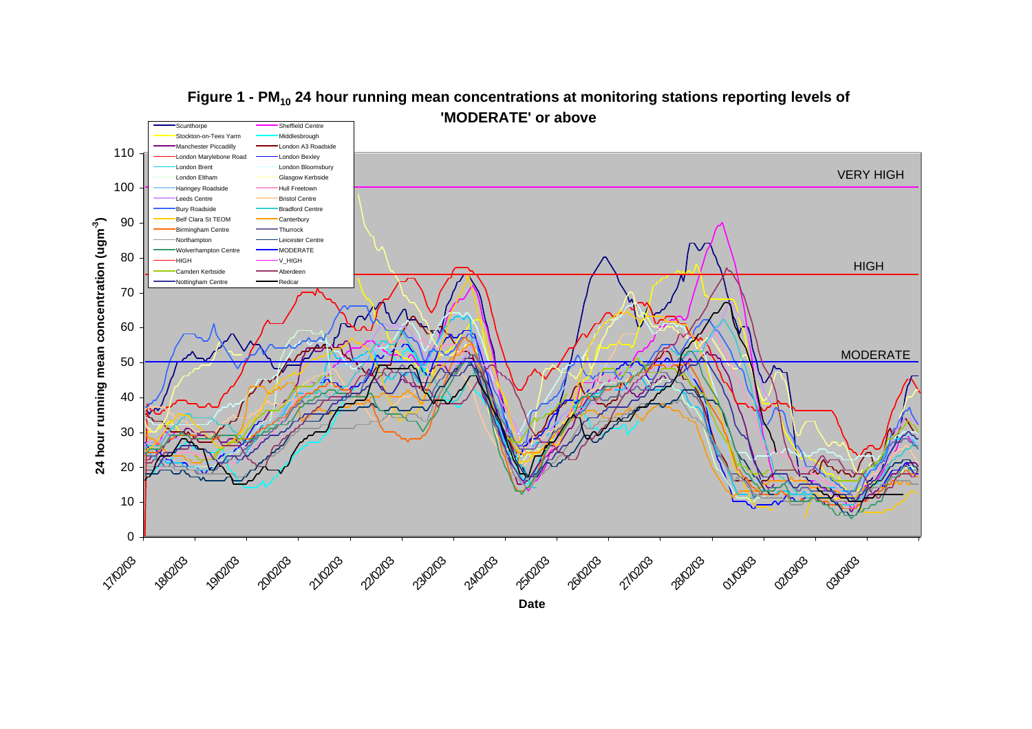

## Figure 1 - PM<sub>10</sub> 24 hour running mean concentrations at monitoring stations reporting levels of **'MODERATE' or above**

**Date**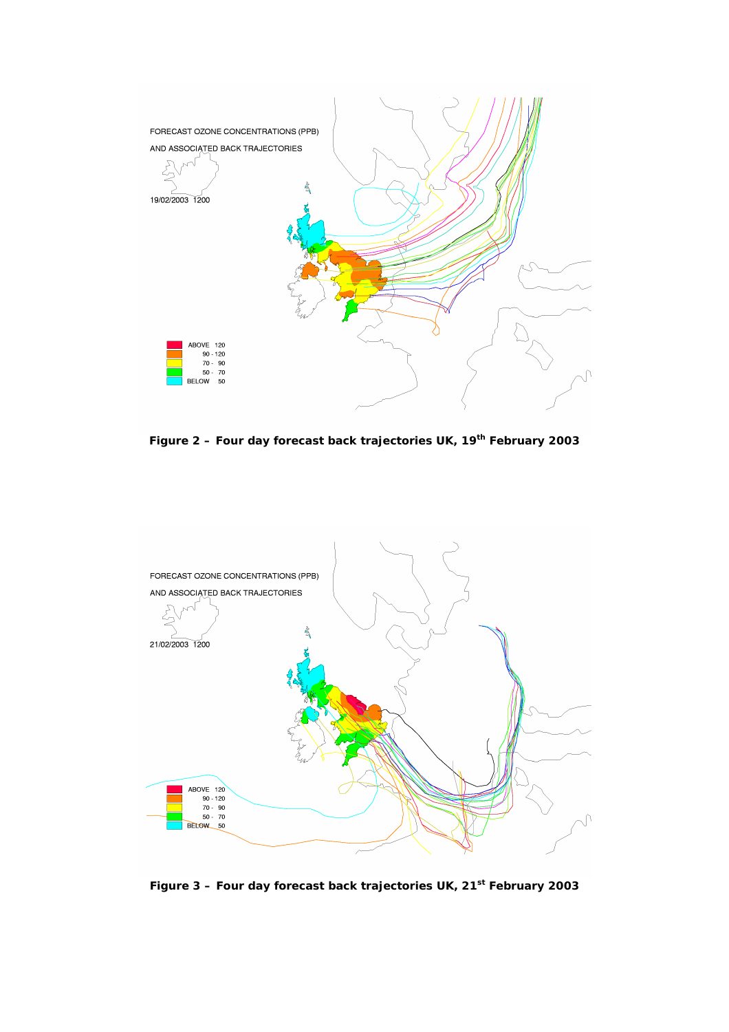

**Figure 2 – Four day forecast back trajectories UK, 19th February 2003**



**Figure 3 – Four day forecast back trajectories UK, 21st February 2003**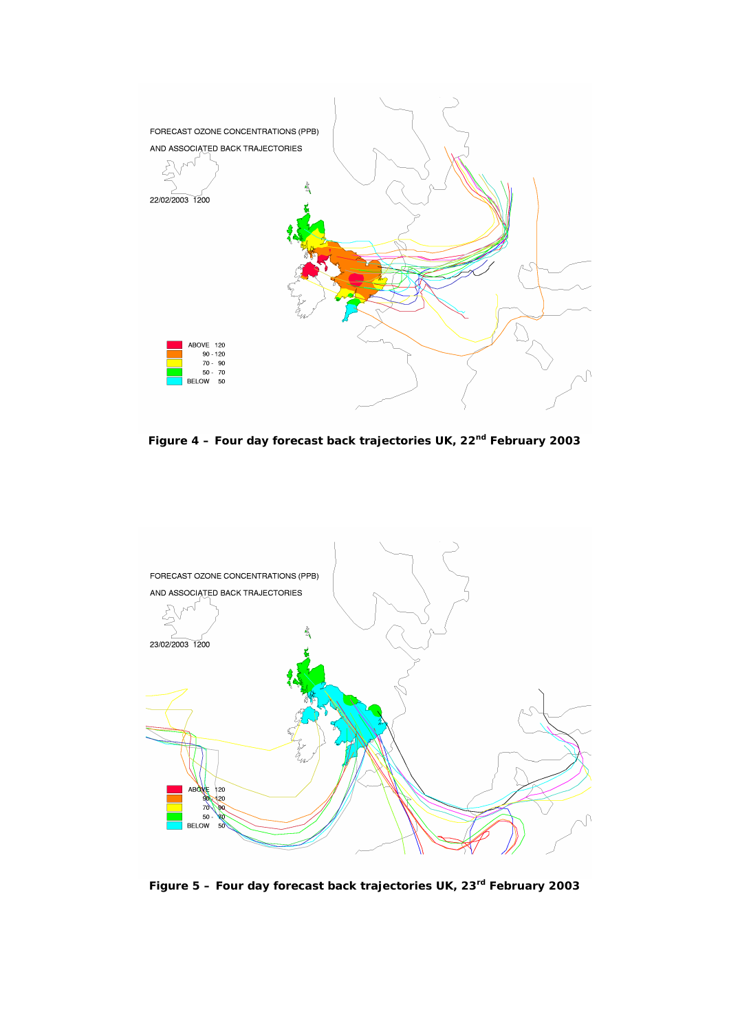

**Figure 4 – Four day forecast back trajectories UK, 22nd February 2003**



**Figure 5 – Four day forecast back trajectories UK, 23rd February 2003**